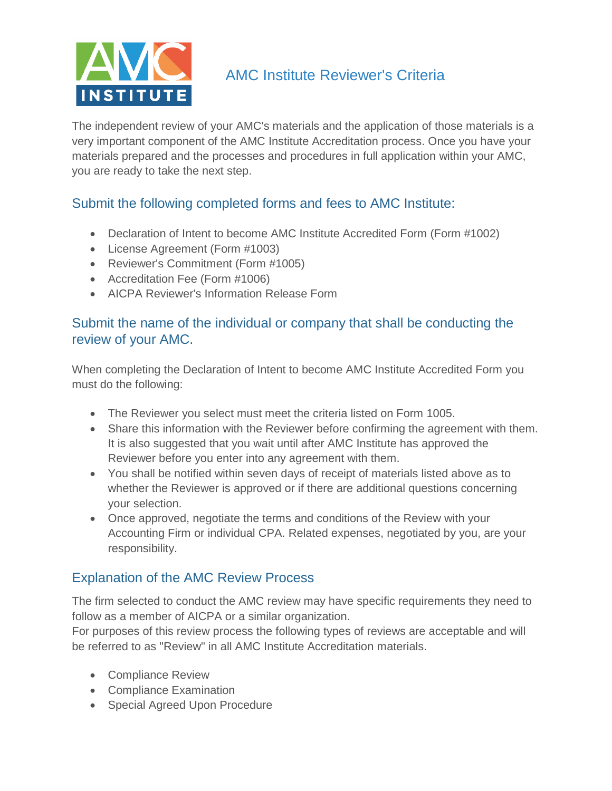

# AMC Institute Reviewer's Criteria

The independent review of your AMC's materials and the application of those materials is a very important component of the AMC Institute Accreditation process. Once you have your materials prepared and the processes and procedures in full application within your AMC, you are ready to take the next step.

# Submit the following completed forms and fees to AMC Institute:

- Declaration of Intent to become AMC Institute Accredited Form (Form #1002)
- License Agreement (Form #1003)
- Reviewer's Commitment (Form #1005)
- Accreditation Fee (Form #1006)
- AICPA Reviewer's Information Release Form

# Submit the name of the individual or company that shall be conducting the review of your AMC.

When completing the Declaration of Intent to become AMC Institute Accredited Form you must do the following:

- The Reviewer you select must meet the criteria listed on Form 1005.
- Share this information with the Reviewer before confirming the agreement with them. It is also suggested that you wait until after AMC Institute has approved the Reviewer before you enter into any agreement with them.
- You shall be notified within seven days of receipt of materials listed above as to whether the Reviewer is approved or if there are additional questions concerning your selection.
- Once approved, negotiate the terms and conditions of the Review with your Accounting Firm or individual CPA. Related expenses, negotiated by you, are your responsibility.

# Explanation of the AMC Review Process

The firm selected to conduct the AMC review may have specific requirements they need to follow as a member of AICPA or a similar organization.

For purposes of this review process the following types of reviews are acceptable and will be referred to as "Review" in all AMC Institute Accreditation materials.

- Compliance Review
- Compliance Examination
- Special Agreed Upon Procedure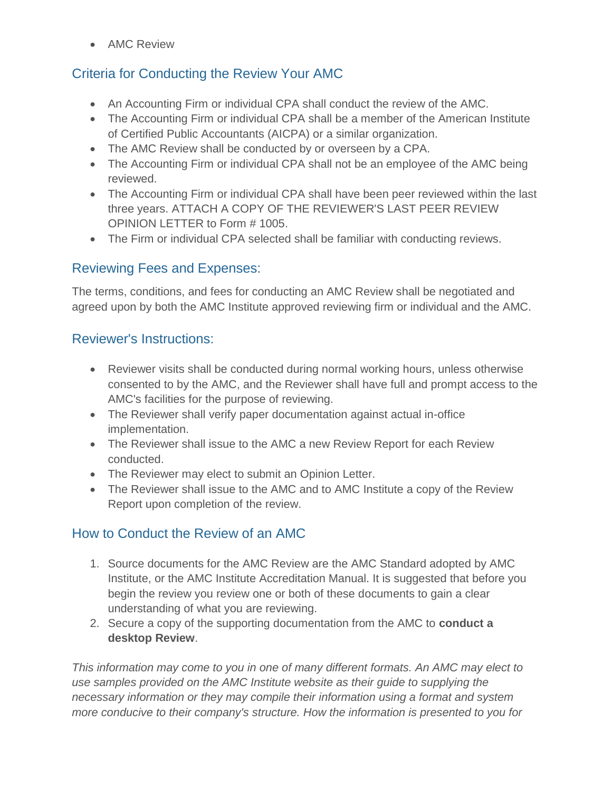• AMC Review

# Criteria for Conducting the Review Your AMC

- An Accounting Firm or individual CPA shall conduct the review of the AMC.
- The Accounting Firm or individual CPA shall be a member of the American Institute of Certified Public Accountants (AICPA) or a similar organization.
- The AMC Review shall be conducted by or overseen by a CPA.
- The Accounting Firm or individual CPA shall not be an employee of the AMC being reviewed.
- The Accounting Firm or individual CPA shall have been peer reviewed within the last three years. ATTACH A COPY OF THE REVIEWER'S LAST PEER REVIEW OPINION LETTER to Form # 1005.
- The Firm or individual CPA selected shall be familiar with conducting reviews.

# Reviewing Fees and Expenses:

The terms, conditions, and fees for conducting an AMC Review shall be negotiated and agreed upon by both the AMC Institute approved reviewing firm or individual and the AMC.

# Reviewer's Instructions:

- Reviewer visits shall be conducted during normal working hours, unless otherwise consented to by the AMC, and the Reviewer shall have full and prompt access to the AMC's facilities for the purpose of reviewing.
- The Reviewer shall verify paper documentation against actual in-office implementation.
- The Reviewer shall issue to the AMC a new Review Report for each Review conducted.
- The Reviewer may elect to submit an Opinion Letter.
- The Reviewer shall issue to the AMC and to AMC Institute a copy of the Review Report upon completion of the review.

# How to Conduct the Review of an AMC

- 1. Source documents for the AMC Review are the AMC Standard adopted by AMC Institute, or the AMC Institute Accreditation Manual. It is suggested that before you begin the review you review one or both of these documents to gain a clear understanding of what you are reviewing.
- 2. Secure a copy of the supporting documentation from the AMC to **conduct a desktop Review**.

*This information may come to you in one of many different formats. An AMC may elect to use samples provided on the AMC Institute website as their guide to supplying the necessary information or they may compile their information using a format and system more conducive to their company's structure. How the information is presented to you for*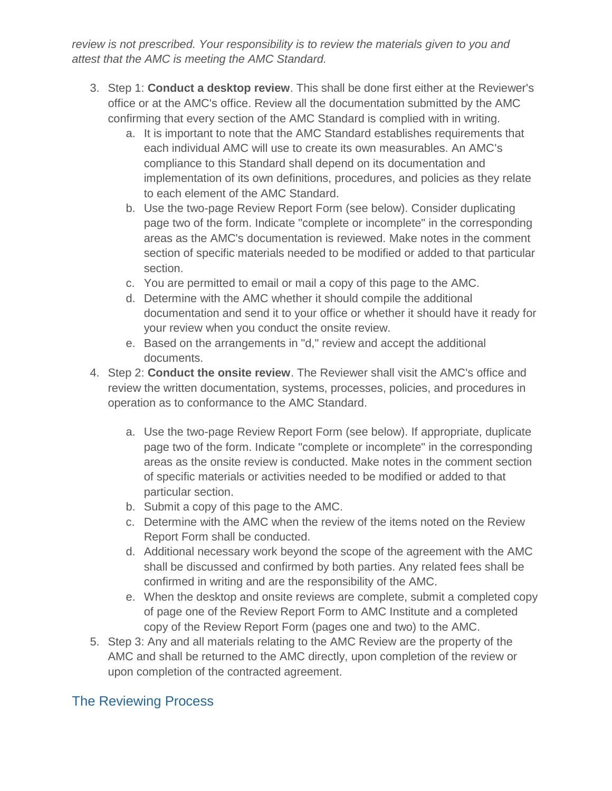*review is not prescribed. Your responsibility is to review the materials given to you and attest that the AMC is meeting the AMC Standard.*

- 3. Step 1: **Conduct a desktop review**. This shall be done first either at the Reviewer's office or at the AMC's office. Review all the documentation submitted by the AMC confirming that every section of the AMC Standard is complied with in writing.
	- a. It is important to note that the AMC Standard establishes requirements that each individual AMC will use to create its own measurables. An AMC's compliance to this Standard shall depend on its documentation and implementation of its own definitions, procedures, and policies as they relate to each element of the AMC Standard.
	- b. Use the two-page Review Report Form (see below). Consider duplicating page two of the form. Indicate "complete or incomplete" in the corresponding areas as the AMC's documentation is reviewed. Make notes in the comment section of specific materials needed to be modified or added to that particular section.
	- c. You are permitted to email or mail a copy of this page to the AMC.
	- d. Determine with the AMC whether it should compile the additional documentation and send it to your office or whether it should have it ready for your review when you conduct the onsite review.
	- e. Based on the arrangements in "d," review and accept the additional documents.
- 4. Step 2: **Conduct the onsite review**. The Reviewer shall visit the AMC's office and review the written documentation, systems, processes, policies, and procedures in operation as to conformance to the AMC Standard.
	- a. Use the two-page Review Report Form (see below). If appropriate, duplicate page two of the form. Indicate "complete or incomplete" in the corresponding areas as the onsite review is conducted. Make notes in the comment section of specific materials or activities needed to be modified or added to that particular section.
	- b. Submit a copy of this page to the AMC.
	- c. Determine with the AMC when the review of the items noted on the Review Report Form shall be conducted.
	- d. Additional necessary work beyond the scope of the agreement with the AMC shall be discussed and confirmed by both parties. Any related fees shall be confirmed in writing and are the responsibility of the AMC.
	- e. When the desktop and onsite reviews are complete, submit a completed copy of page one of the Review Report Form to AMC Institute and a completed copy of the Review Report Form (pages one and two) to the AMC.
- 5. Step 3: Any and all materials relating to the AMC Review are the property of the AMC and shall be returned to the AMC directly, upon completion of the review or upon completion of the contracted agreement.

# The Reviewing Process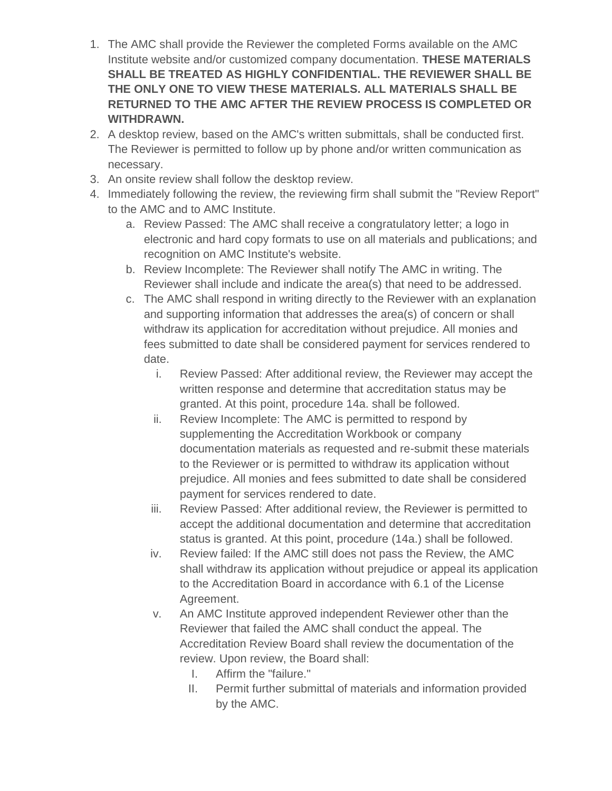- 1. The AMC shall provide the Reviewer the completed Forms available on the AMC Institute website and/or customized company documentation. **THESE MATERIALS SHALL BE TREATED AS HIGHLY CONFIDENTIAL. THE REVIEWER SHALL BE THE ONLY ONE TO VIEW THESE MATERIALS. ALL MATERIALS SHALL BE RETURNED TO THE AMC AFTER THE REVIEW PROCESS IS COMPLETED OR WITHDRAWN.**
- 2. A desktop review, based on the AMC's written submittals, shall be conducted first. The Reviewer is permitted to follow up by phone and/or written communication as necessary.
- 3. An onsite review shall follow the desktop review.
- 4. Immediately following the review, the reviewing firm shall submit the "Review Report" to the AMC and to AMC Institute.
	- a. Review Passed: The AMC shall receive a congratulatory letter; a logo in electronic and hard copy formats to use on all materials and publications; and recognition on AMC Institute's website.
	- b. Review Incomplete: The Reviewer shall notify The AMC in writing. The Reviewer shall include and indicate the area(s) that need to be addressed.
	- c. The AMC shall respond in writing directly to the Reviewer with an explanation and supporting information that addresses the area(s) of concern or shall withdraw its application for accreditation without prejudice. All monies and fees submitted to date shall be considered payment for services rendered to date.
		- i. Review Passed: After additional review, the Reviewer may accept the written response and determine that accreditation status may be granted. At this point, procedure 14a. shall be followed.
		- ii. Review Incomplete: The AMC is permitted to respond by supplementing the Accreditation Workbook or company documentation materials as requested and re-submit these materials to the Reviewer or is permitted to withdraw its application without prejudice. All monies and fees submitted to date shall be considered payment for services rendered to date.
		- iii. Review Passed: After additional review, the Reviewer is permitted to accept the additional documentation and determine that accreditation status is granted. At this point, procedure (14a.) shall be followed.
		- iv. Review failed: If the AMC still does not pass the Review, the AMC shall withdraw its application without prejudice or appeal its application to the Accreditation Board in accordance with 6.1 of the License Agreement.
		- v. An AMC Institute approved independent Reviewer other than the Reviewer that failed the AMC shall conduct the appeal. The Accreditation Review Board shall review the documentation of the review. Upon review, the Board shall:
			- I. Affirm the "failure."
			- II. Permit further submittal of materials and information provided by the AMC.